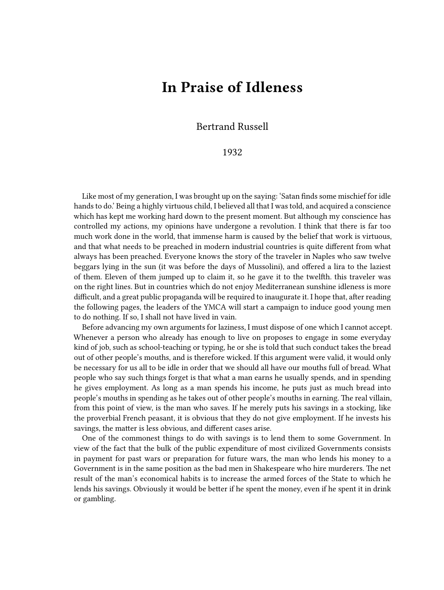## **In Praise of Idleness**

Bertrand Russell

## 1932

Like most of my generation, I was brought up on the saying: 'Satan finds some mischief for idle hands to do.' Being a highly virtuous child, I believed all that I was told, and acquired a conscience which has kept me working hard down to the present moment. But although my conscience has controlled my actions, my opinions have undergone a revolution. I think that there is far too much work done in the world, that immense harm is caused by the belief that work is virtuous, and that what needs to be preached in modern industrial countries is quite different from what always has been preached. Everyone knows the story of the traveler in Naples who saw twelve beggars lying in the sun (it was before the days of Mussolini), and offered a lira to the laziest of them. Eleven of them jumped up to claim it, so he gave it to the twelfth. this traveler was on the right lines. But in countries which do not enjoy Mediterranean sunshine idleness is more difficult, and a great public propaganda will be required to inaugurate it. I hope that, after reading the following pages, the leaders of the YMCA will start a campaign to induce good young men to do nothing. If so, I shall not have lived in vain.

Before advancing my own arguments for laziness, I must dispose of one which I cannot accept. Whenever a person who already has enough to live on proposes to engage in some everyday kind of job, such as school-teaching or typing, he or she is told that such conduct takes the bread out of other people's mouths, and is therefore wicked. If this argument were valid, it would only be necessary for us all to be idle in order that we should all have our mouths full of bread. What people who say such things forget is that what a man earns he usually spends, and in spending he gives employment. As long as a man spends his income, he puts just as much bread into people's mouths in spending as he takes out of other people's mouths in earning. The real villain, from this point of view, is the man who saves. If he merely puts his savings in a stocking, like the proverbial French peasant, it is obvious that they do not give employment. If he invests his savings, the matter is less obvious, and different cases arise.

One of the commonest things to do with savings is to lend them to some Government. In view of the fact that the bulk of the public expenditure of most civilized Governments consists in payment for past wars or preparation for future wars, the man who lends his money to a Government is in the same position as the bad men in Shakespeare who hire murderers. The net result of the man's economical habits is to increase the armed forces of the State to which he lends his savings. Obviously it would be better if he spent the money, even if he spent it in drink or gambling.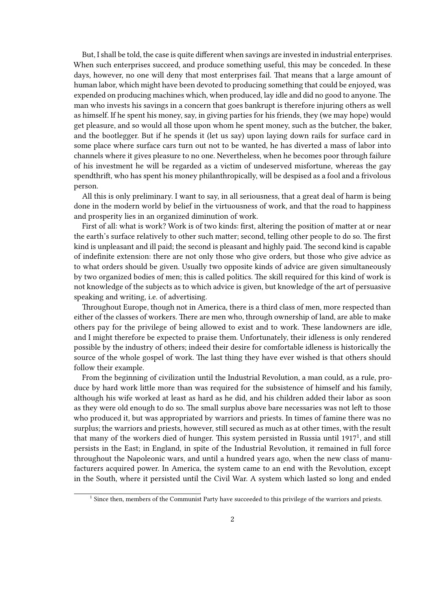But, I shall be told, the case is quite different when savings are invested in industrial enterprises. When such enterprises succeed, and produce something useful, this may be conceded. In these days, however, no one will deny that most enterprises fail. That means that a large amount of human labor, which might have been devoted to producing something that could be enjoyed, was expended on producing machines which, when produced, lay idle and did no good to anyone. The man who invests his savings in a concern that goes bankrupt is therefore injuring others as well as himself. If he spent his money, say, in giving parties for his friends, they (we may hope) would get pleasure, and so would all those upon whom he spent money, such as the butcher, the baker, and the bootlegger. But if he spends it (let us say) upon laying down rails for surface card in some place where surface cars turn out not to be wanted, he has diverted a mass of labor into channels where it gives pleasure to no one. Nevertheless, when he becomes poor through failure of his investment he will be regarded as a victim of undeserved misfortune, whereas the gay spendthrift, who has spent his money philanthropically, will be despised as a fool and a frivolous person.

All this is only preliminary. I want to say, in all seriousness, that a great deal of harm is being done in the modern world by belief in the virtuousness of work, and that the road to happiness and prosperity lies in an organized diminution of work.

First of all: what is work? Work is of two kinds: first, altering the position of matter at or near the earth's surface relatively to other such matter; second, telling other people to do so. The first kind is unpleasant and ill paid; the second is pleasant and highly paid. The second kind is capable of indefinite extension: there are not only those who give orders, but those who give advice as to what orders should be given. Usually two opposite kinds of advice are given simultaneously by two organized bodies of men; this is called politics. The skill required for this kind of work is not knowledge of the subjects as to which advice is given, but knowledge of the art of persuasive speaking and writing, i.e. of advertising.

Throughout Europe, though not in America, there is a third class of men, more respected than either of the classes of workers. There are men who, through ownership of land, are able to make others pay for the privilege of being allowed to exist and to work. These landowners are idle, and I might therefore be expected to praise them. Unfortunately, their idleness is only rendered possible by the industry of others; indeed their desire for comfortable idleness is historically the source of the whole gospel of work. The last thing they have ever wished is that others should follow their example.

From the beginning of civilization until the Industrial Revolution, a man could, as a rule, produce by hard work little more than was required for the subsistence of himself and his family, although his wife worked at least as hard as he did, and his children added their labor as soon as they were old enough to do so. The small surplus above bare necessaries was not left to those who produced it, but was appropriated by warriors and priests. In times of famine there was no surplus; the warriors and priests, however, still secured as much as at other times, with the result that many of the workers died of hunger. This system persisted in Russia until 1917<sup>1</sup>, and still persists in the East; in England, in spite of the Industrial Revolution, it remained in full force throughout the Napoleonic wars, and until a hundred years ago, when the new class of manufacturers acquired power. In America, the system came to an end with the Revolution, except in the South, where it persisted until the Civil War. A system which lasted so long and ended

<sup>&</sup>lt;sup>1</sup> Since then, members of the Communist Party have succeeded to this privilege of the warriors and priests.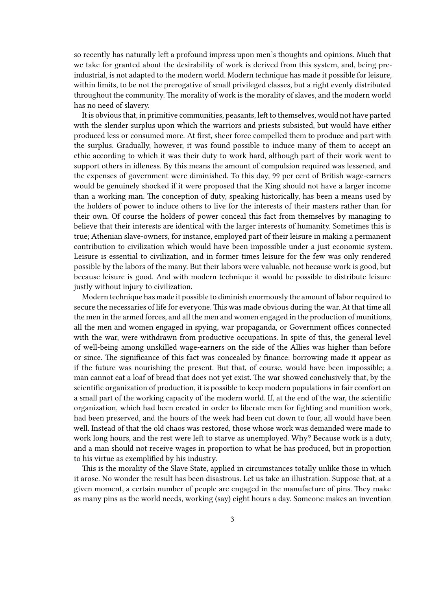so recently has naturally left a profound impress upon men's thoughts and opinions. Much that we take for granted about the desirability of work is derived from this system, and, being preindustrial, is not adapted to the modern world. Modern technique has made it possible for leisure, within limits, to be not the prerogative of small privileged classes, but a right evenly distributed throughout the community. The morality of work is the morality of slaves, and the modern world has no need of slavery.

It is obvious that, in primitive communities, peasants, left to themselves, would not have parted with the slender surplus upon which the warriors and priests subsisted, but would have either produced less or consumed more. At first, sheer force compelled them to produce and part with the surplus. Gradually, however, it was found possible to induce many of them to accept an ethic according to which it was their duty to work hard, although part of their work went to support others in idleness. By this means the amount of compulsion required was lessened, and the expenses of government were diminished. To this day, 99 per cent of British wage-earners would be genuinely shocked if it were proposed that the King should not have a larger income than a working man. The conception of duty, speaking historically, has been a means used by the holders of power to induce others to live for the interests of their masters rather than for their own. Of course the holders of power conceal this fact from themselves by managing to believe that their interests are identical with the larger interests of humanity. Sometimes this is true; Athenian slave-owners, for instance, employed part of their leisure in making a permanent contribution to civilization which would have been impossible under a just economic system. Leisure is essential to civilization, and in former times leisure for the few was only rendered possible by the labors of the many. But their labors were valuable, not because work is good, but because leisure is good. And with modern technique it would be possible to distribute leisure justly without injury to civilization.

Modern technique has made it possible to diminish enormously the amount of labor required to secure the necessaries of life for everyone. This was made obvious during the war. At that time all the men in the armed forces, and all the men and women engaged in the production of munitions, all the men and women engaged in spying, war propaganda, or Government offices connected with the war, were withdrawn from productive occupations. In spite of this, the general level of well-being among unskilled wage-earners on the side of the Allies was higher than before or since. The significance of this fact was concealed by finance: borrowing made it appear as if the future was nourishing the present. But that, of course, would have been impossible; a man cannot eat a loaf of bread that does not yet exist. The war showed conclusively that, by the scientific organization of production, it is possible to keep modern populations in fair comfort on a small part of the working capacity of the modern world. If, at the end of the war, the scientific organization, which had been created in order to liberate men for fighting and munition work, had been preserved, and the hours of the week had been cut down to four, all would have been well. Instead of that the old chaos was restored, those whose work was demanded were made to work long hours, and the rest were left to starve as unemployed. Why? Because work is a duty, and a man should not receive wages in proportion to what he has produced, but in proportion to his virtue as exemplified by his industry.

This is the morality of the Slave State, applied in circumstances totally unlike those in which it arose. No wonder the result has been disastrous. Let us take an illustration. Suppose that, at a given moment, a certain number of people are engaged in the manufacture of pins. They make as many pins as the world needs, working (say) eight hours a day. Someone makes an invention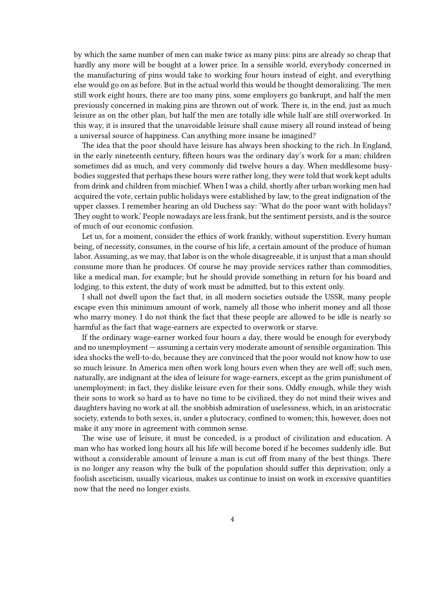by which the same number of men can make twice as many pins: pins are already so cheap that hardly any more will be bought at a lower price. In a sensible world, everybody concerned in the manufacturing of pins would take to working four hours instead of eight, and everything else would go on as before. But in the actual world this would be thought demoralizing. The men still work eight hours, there are too many pins, some employers go bankrupt, and half the men previously concerned in making pins are thrown out of work. There is, in the end, just as much leisure as on the other plan, but half the men are totally idle while half are still overworked. In this way, it is insured that the unavoidable leisure shall cause misery all round instead of being a universal source of happiness. Can anything more insane be imagined?

The idea that the poor should have leisure has always been shocking to the rich. In England, in the early nineteenth century, fifteen hours was the ordinary day's work for a man; children sometimes did as much, and very commonly did twelve hours a day. When meddlesome busybodies suggested that perhaps these hours were rather long, they were told that work kept adults from drink and children from mischief. When I was a child, shortly after urban working men had acquired the vote, certain public holidays were established by law, to the great indignation of the upper classes. I remember hearing an old Duchess say: 'What do the poor want with holidays? They ought to work.' People nowadays are less frank, but the sentiment persists, and is the source of much of our economic confusion.

Let us, for a moment, consider the ethics of work frankly, without superstition. Every human being, of necessity, consumes, in the course of his life, a certain amount of the produce of human labor. Assuming, as we may, that labor is on the whole disagreeable, it is unjust that a man should consume more than he produces. Of course he may provide services rather than commodities, like a medical man, for example; but he should provide something in return for his board and lodging. to this extent, the duty of work must be admitted, but to this extent only.

I shall not dwell upon the fact that, in all modern societies outside the USSR, many people escape even this minimum amount of work, namely all those who inherit money and all those who marry money. I do not think the fact that these people are allowed to be idle is nearly so harmful as the fact that wage-earners are expected to overwork or starve.

If the ordinary wage-earner worked four hours a day, there would be enough for everybody and no unemployment — assuming a certain very moderate amount of sensible organization. This idea shocks the well-to-do, because they are convinced that the poor would not know how to use so much leisure. In America men often work long hours even when they are well off; such men, naturally, are indignant at the idea of leisure for wage-earners, except as the grim punishment of unemployment; in fact, they dislike leisure even for their sons. Oddly enough, while they wish their sons to work so hard as to have no time to be civilized, they do not mind their wives and daughters having no work at all. the snobbish admiration of uselessness, which, in an aristocratic society, extends to both sexes, is, under a plutocracy, confined to women; this, however, does not make it any more in agreement with common sense.

The wise use of leisure, it must be conceded, is a product of civilization and education. A man who has worked long hours all his life will become bored if he becomes suddenly idle. But without a considerable amount of leisure a man is cut off from many of the best things. There is no longer any reason why the bulk of the population should suffer this deprivation; only a foolish asceticism, usually vicarious, makes us continue to insist on work in excessive quantities now that the need no longer exists.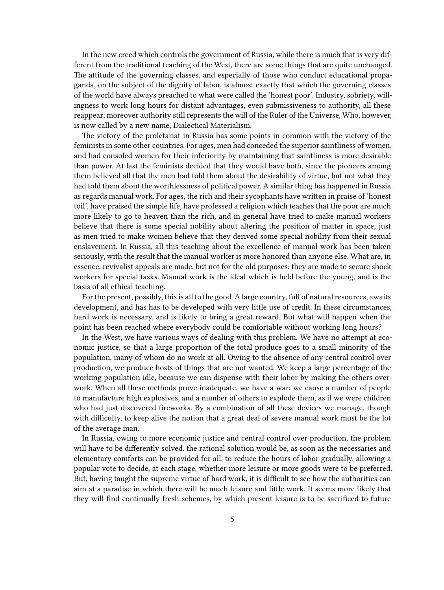In the new creed which controls the government of Russia, while there is much that is very different from the traditional teaching of the West, there are some things that are quite unchanged. The attitude of the governing classes, and especially of those who conduct educational propaganda, on the subject of the dignity of labor, is almost exactly that which the governing classes of the world have always preached to what were called the 'honest poor'. Industry, sobriety, willingness to work long hours for distant advantages, even submissiveness to authority, all these reappear; moreover authority still represents the will of the Ruler of the Universe, Who, however, is now called by a new name, Dialectical Materialism.

The victory of the proletariat in Russia has some points in common with the victory of the feminists in some other countries. For ages, men had conceded the superior saintliness of women, and had consoled women for their inferiority by maintaining that saintliness is more desirable than power. At last the feminists decided that they would have both, since the pioneers among them believed all that the men had told them about the desirability of virtue, but not what they had told them about the worthlessness of political power. A similar thing has happened in Russia as regards manual work. For ages, the rich and their sycophants have written in praise of 'honest toil', have praised the simple life, have professed a religion which teaches that the poor are much more likely to go to heaven than the rich, and in general have tried to make manual workers believe that there is some special nobility about altering the position of matter in space, just as men tried to make women believe that they derived some special nobility from their sexual enslavement. In Russia, all this teaching about the excellence of manual work has been taken seriously, with the result that the manual worker is more honored than anyone else. What are, in essence, revivalist appeals are made, but not for the old purposes: they are made to secure shock workers for special tasks. Manual work is the ideal which is held before the young, and is the basis of all ethical teaching.

For the present, possibly, this is all to the good. A large country, full of natural resources, awaits development, and has has to be developed with very little use of credit. In these circumstances, hard work is necessary, and is likely to bring a great reward. But what will happen when the point has been reached where everybody could be comfortable without working long hours?

In the West, we have various ways of dealing with this problem. We have no attempt at economic justice, so that a large proportion of the total produce goes to a small minority of the population, many of whom do no work at all. Owing to the absence of any central control over production, we produce hosts of things that are not wanted. We keep a large percentage of the working population idle, because we can dispense with their labor by making the others overwork. When all these methods prove inadequate, we have a war: we cause a number of people to manufacture high explosives, and a number of others to explode them, as if we were children who had just discovered fireworks. By a combination of all these devices we manage, though with difficulty, to keep alive the notion that a great deal of severe manual work must be the lot of the average man.

In Russia, owing to more economic justice and central control over production, the problem will have to be differently solved. the rational solution would be, as soon as the necessaries and elementary comforts can be provided for all, to reduce the hours of labor gradually, allowing a popular vote to decide, at each stage, whether more leisure or more goods were to be preferred. But, having taught the supreme virtue of hard work, it is difficult to see how the authorities can aim at a paradise in which there will be much leisure and little work. It seems more likely that they will find continually fresh schemes, by which present leisure is to be sacrificed to future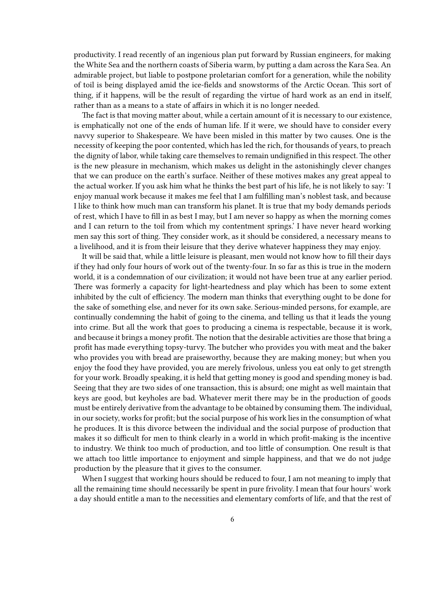productivity. I read recently of an ingenious plan put forward by Russian engineers, for making the White Sea and the northern coasts of Siberia warm, by putting a dam across the Kara Sea. An admirable project, but liable to postpone proletarian comfort for a generation, while the nobility of toil is being displayed amid the ice-fields and snowstorms of the Arctic Ocean. This sort of thing, if it happens, will be the result of regarding the virtue of hard work as an end in itself, rather than as a means to a state of affairs in which it is no longer needed.

The fact is that moving matter about, while a certain amount of it is necessary to our existence, is emphatically not one of the ends of human life. If it were, we should have to consider every navvy superior to Shakespeare. We have been misled in this matter by two causes. One is the necessity of keeping the poor contented, which has led the rich, for thousands of years, to preach the dignity of labor, while taking care themselves to remain undignified in this respect. The other is the new pleasure in mechanism, which makes us delight in the astonishingly clever changes that we can produce on the earth's surface. Neither of these motives makes any great appeal to the actual worker. If you ask him what he thinks the best part of his life, he is not likely to say: 'I enjoy manual work because it makes me feel that I am fulfilling man's noblest task, and because I like to think how much man can transform his planet. It is true that my body demands periods of rest, which I have to fill in as best I may, but I am never so happy as when the morning comes and I can return to the toil from which my contentment springs.' I have never heard working men say this sort of thing. They consider work, as it should be considered, a necessary means to a livelihood, and it is from their leisure that they derive whatever happiness they may enjoy.

It will be said that, while a little leisure is pleasant, men would not know how to fill their days if they had only four hours of work out of the twenty-four. In so far as this is true in the modern world, it is a condemnation of our civilization; it would not have been true at any earlier period. There was formerly a capacity for light-heartedness and play which has been to some extent inhibited by the cult of efficiency. The modern man thinks that everything ought to be done for the sake of something else, and never for its own sake. Serious-minded persons, for example, are continually condemning the habit of going to the cinema, and telling us that it leads the young into crime. But all the work that goes to producing a cinema is respectable, because it is work, and because it brings a money profit. The notion that the desirable activities are those that bring a profit has made everything topsy-turvy. The butcher who provides you with meat and the baker who provides you with bread are praiseworthy, because they are making money; but when you enjoy the food they have provided, you are merely frivolous, unless you eat only to get strength for your work. Broadly speaking, it is held that getting money is good and spending money is bad. Seeing that they are two sides of one transaction, this is absurd; one might as well maintain that keys are good, but keyholes are bad. Whatever merit there may be in the production of goods must be entirely derivative from the advantage to be obtained by consuming them. The individual, in our society, works for profit; but the social purpose of his work lies in the consumption of what he produces. It is this divorce between the individual and the social purpose of production that makes it so difficult for men to think clearly in a world in which profit-making is the incentive to industry. We think too much of production, and too little of consumption. One result is that we attach too little importance to enjoyment and simple happiness, and that we do not judge production by the pleasure that it gives to the consumer.

When I suggest that working hours should be reduced to four, I am not meaning to imply that all the remaining time should necessarily be spent in pure frivolity. I mean that four hours' work a day should entitle a man to the necessities and elementary comforts of life, and that the rest of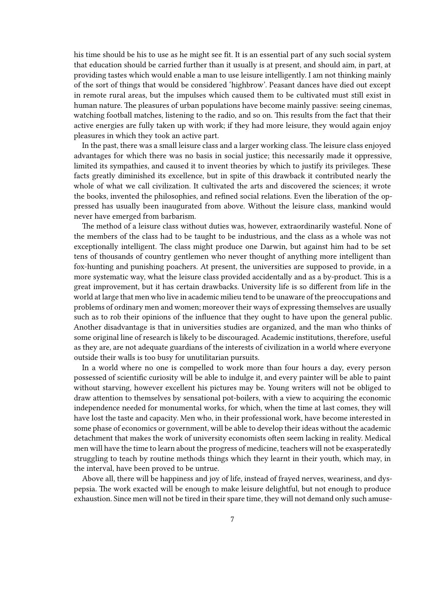his time should be his to use as he might see fit. It is an essential part of any such social system that education should be carried further than it usually is at present, and should aim, in part, at providing tastes which would enable a man to use leisure intelligently. I am not thinking mainly of the sort of things that would be considered 'highbrow'. Peasant dances have died out except in remote rural areas, but the impulses which caused them to be cultivated must still exist in human nature. The pleasures of urban populations have become mainly passive: seeing cinemas, watching football matches, listening to the radio, and so on. This results from the fact that their active energies are fully taken up with work; if they had more leisure, they would again enjoy pleasures in which they took an active part.

In the past, there was a small leisure class and a larger working class. The leisure class enjoyed advantages for which there was no basis in social justice; this necessarily made it oppressive, limited its sympathies, and caused it to invent theories by which to justify its privileges. These facts greatly diminished its excellence, but in spite of this drawback it contributed nearly the whole of what we call civilization. It cultivated the arts and discovered the sciences; it wrote the books, invented the philosophies, and refined social relations. Even the liberation of the oppressed has usually been inaugurated from above. Without the leisure class, mankind would never have emerged from barbarism.

The method of a leisure class without duties was, however, extraordinarily wasteful. None of the members of the class had to be taught to be industrious, and the class as a whole was not exceptionally intelligent. The class might produce one Darwin, but against him had to be set tens of thousands of country gentlemen who never thought of anything more intelligent than fox-hunting and punishing poachers. At present, the universities are supposed to provide, in a more systematic way, what the leisure class provided accidentally and as a by-product. This is a great improvement, but it has certain drawbacks. University life is so different from life in the world at large that men who live in academic milieu tend to be unaware of the preoccupations and problems of ordinary men and women; moreover their ways of expressing themselves are usually such as to rob their opinions of the influence that they ought to have upon the general public. Another disadvantage is that in universities studies are organized, and the man who thinks of some original line of research is likely to be discouraged. Academic institutions, therefore, useful as they are, are not adequate guardians of the interests of civilization in a world where everyone outside their walls is too busy for unutilitarian pursuits.

In a world where no one is compelled to work more than four hours a day, every person possessed of scientific curiosity will be able to indulge it, and every painter will be able to paint without starving, however excellent his pictures may be. Young writers will not be obliged to draw attention to themselves by sensational pot-boilers, with a view to acquiring the economic independence needed for monumental works, for which, when the time at last comes, they will have lost the taste and capacity. Men who, in their professional work, have become interested in some phase of economics or government, will be able to develop their ideas without the academic detachment that makes the work of university economists often seem lacking in reality. Medical men will have the time to learn about the progress of medicine, teachers will not be exasperatedly struggling to teach by routine methods things which they learnt in their youth, which may, in the interval, have been proved to be untrue.

Above all, there will be happiness and joy of life, instead of frayed nerves, weariness, and dyspepsia. The work exacted will be enough to make leisure delightful, but not enough to produce exhaustion. Since men will not be tired in their spare time, they will not demand only such amuse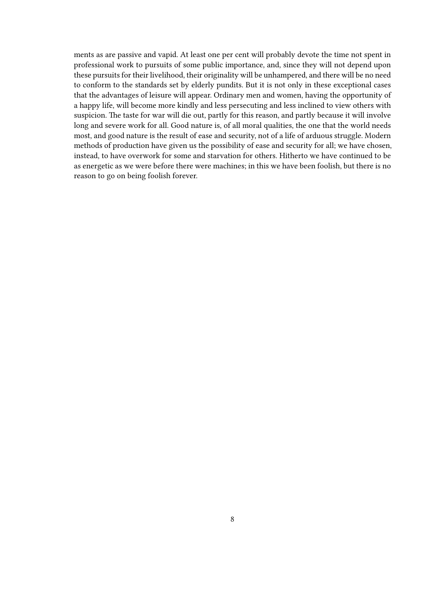ments as are passive and vapid. At least one per cent will probably devote the time not spent in professional work to pursuits of some public importance, and, since they will not depend upon these pursuits for their livelihood, their originality will be unhampered, and there will be no need to conform to the standards set by elderly pundits. But it is not only in these exceptional cases that the advantages of leisure will appear. Ordinary men and women, having the opportunity of a happy life, will become more kindly and less persecuting and less inclined to view others with suspicion. The taste for war will die out, partly for this reason, and partly because it will involve long and severe work for all. Good nature is, of all moral qualities, the one that the world needs most, and good nature is the result of ease and security, not of a life of arduous struggle. Modern methods of production have given us the possibility of ease and security for all; we have chosen, instead, to have overwork for some and starvation for others. Hitherto we have continued to be as energetic as we were before there were machines; in this we have been foolish, but there is no reason to go on being foolish forever.